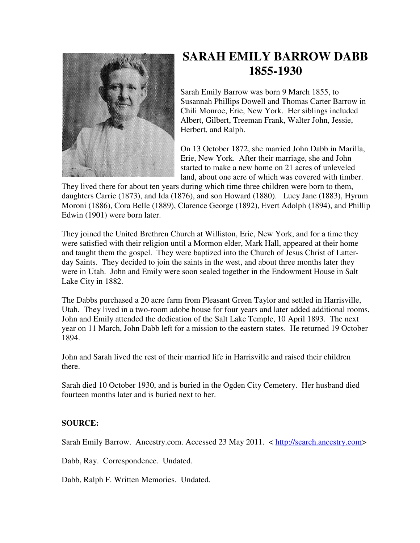

## **SARAH EMILY BARROW DABB 1855-1930**

Sarah Emily Barrow was born 9 March 1855, to Susannah Phillips Dowell and Thomas Carter Barrow in Chili Monroe, Erie, New York. Her siblings included Albert, Gilbert, Treeman Frank, Walter John, Jessie, Herbert, and Ralph.

On 13 October 1872, she married John Dabb in Marilla, Erie, New York. After their marriage, she and John started to make a new home on 21 acres of unleveled land, about one acre of which was covered with timber.

They lived there for about ten years during which time three children were born to them, daughters Carrie (1873), and Ida (1876), and son Howard (1880). Lucy Jane (1883), Hyrum Moroni (1886), Cora Belle (1889), Clarence George (1892), Evert Adolph (1894), and Phillip Edwin (1901) were born later.

They joined the United Brethren Church at Williston, Erie, New York, and for a time they were satisfied with their religion until a Mormon elder, Mark Hall, appeared at their home and taught them the gospel. They were baptized into the Church of Jesus Christ of Latterday Saints. They decided to join the saints in the west, and about three months later they were in Utah. John and Emily were soon sealed together in the Endowment House in Salt Lake City in 1882.

The Dabbs purchased a 20 acre farm from Pleasant Green Taylor and settled in Harrisville, Utah. They lived in a two-room adobe house for four years and later added additional rooms. John and Emily attended the dedication of the Salt Lake Temple, 10 April 1893. The next year on 11 March, John Dabb left for a mission to the eastern states. He returned 19 October 1894.

John and Sarah lived the rest of their married life in Harrisville and raised their children there.

Sarah died 10 October 1930, and is buried in the Ogden City Cemetery. Her husband died fourteen months later and is buried next to her.

## **SOURCE:**

Sarah Emily Barrow. Ancestry.com. Accessed 23 May 2011. < http://search.ancestry.com>

Dabb, Ray. Correspondence. Undated.

Dabb, Ralph F. Written Memories. Undated.